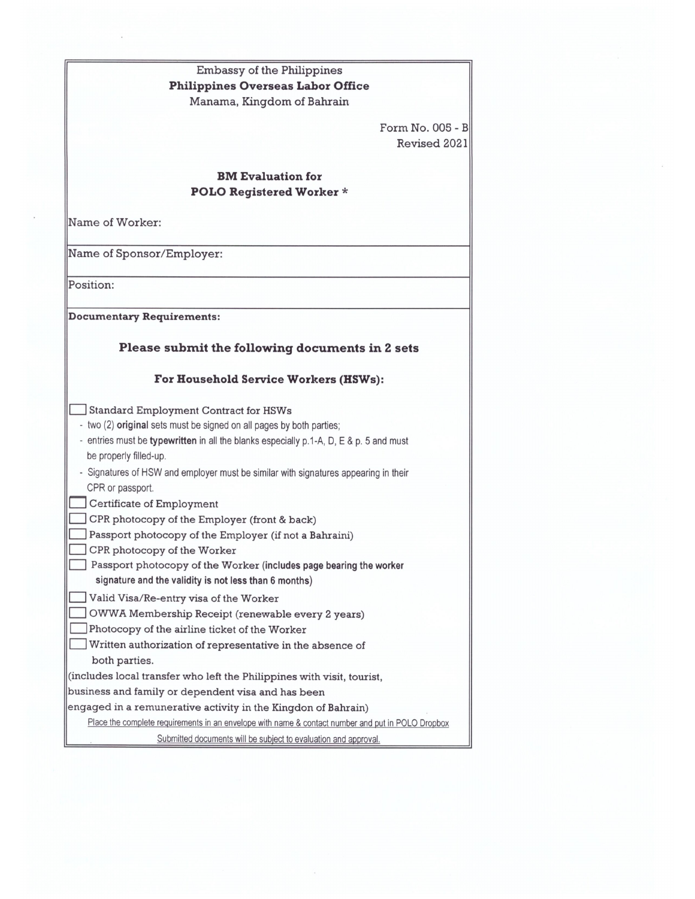## Embassy of the Philippines **Philippines Overseas Labor Office**

Manama, Kingdom of Bahrain

Form No. 005 - B Revised 2021

## **BM** Evaluation for **POLO Registered Worker \***

Name of Worker:

Name of Sponsor/Employer:

Position:

**Documentary Requirements:** 

## Please submit the following documents in 2 sets

## For Household Service Workers (HSWs):

| <b>Standard Employment Contract for HSWs</b>                                                      |
|---------------------------------------------------------------------------------------------------|
| - two (2) original sets must be signed on all pages by both parties;                              |
| - entries must be typewritten in all the blanks especially p.1-A, D, E & p. 5 and must            |
| be properly filled-up.                                                                            |
| - Signatures of HSW and employer must be similar with signatures appearing in their               |
| CPR or passport.                                                                                  |
| Certificate of Employment                                                                         |
| CPR photocopy of the Employer (front & back)                                                      |
| Passport photocopy of the Employer (if not a Bahraini)                                            |
| CPR photocopy of the Worker                                                                       |
| Passport photocopy of the Worker (includes page bearing the worker                                |
| signature and the validity is not less than 6 months)                                             |
| Valid Visa/Re-entry visa of the Worker                                                            |
| ◯ OWWA Membership Receipt (renewable every 2 years)                                               |
| Photocopy of the airline ticket of the Worker                                                     |
| Written authorization of representative in the absence of                                         |
| both parties.                                                                                     |
| (includes local transfer who left the Philippines with visit, tourist,                            |
| business and family or dependent visa and has been                                                |
| engaged in a remunerative activity in the Kingdon of Bahrain)                                     |
| Place the complete requirements in an envelope with name & contact number and put in POLO Dropbox |
| Submitted documents will be subject to evaluation and approval                                    |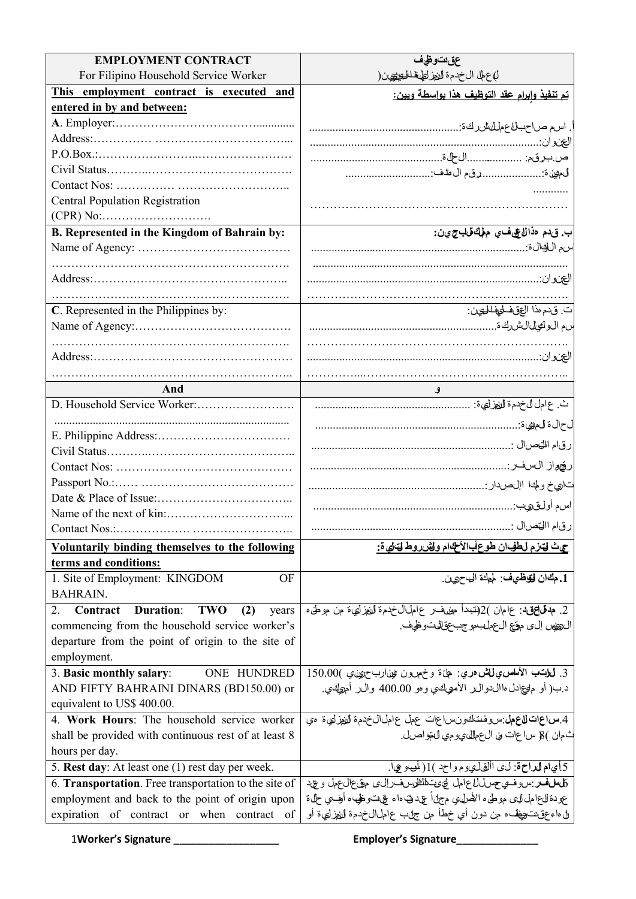| <b>EMPLOYMENT CONTRACT</b>                                                                                | عقسوظهف                                                                                                                                       |
|-----------------------------------------------------------------------------------------------------------|-----------------------------------------------------------------------------------------------------------------------------------------------|
| For Filipino Household Service Worker                                                                     | ل)عطل الخدمة النفز لطلة الحيري ن                                                                                                              |
| This employment contract is executed and                                                                  | <u>تم تنفيذ وإبرام عقد التوظيف هذا بواسطة ويين:</u>                                                                                           |
| entered in by and between:                                                                                |                                                                                                                                               |
|                                                                                                           |                                                                                                                                               |
| P.O.Box.                                                                                                  |                                                                                                                                               |
|                                                                                                           |                                                                                                                                               |
|                                                                                                           |                                                                                                                                               |
| <b>Central Population Registration</b>                                                                    |                                                                                                                                               |
|                                                                                                           |                                                                                                                                               |
| B. Represented in the Kingdom of Bahrain by:                                                              | ب. قدم هذاللڪف ۽ مطك قاب جين:                                                                                                                 |
|                                                                                                           |                                                                                                                                               |
|                                                                                                           |                                                                                                                                               |
|                                                                                                           |                                                                                                                                               |
|                                                                                                           |                                                                                                                                               |
| C. Represented in the Philippines by:                                                                     | ت قدم مذا العق فلهفللهين:                                                                                                                     |
|                                                                                                           |                                                                                                                                               |
|                                                                                                           |                                                                                                                                               |
|                                                                                                           |                                                                                                                                               |
|                                                                                                           |                                                                                                                                               |
| And                                                                                                       |                                                                                                                                               |
|                                                                                                           |                                                                                                                                               |
|                                                                                                           | لحال ة المري ة : .                                                                                                                            |
|                                                                                                           |                                                                                                                                               |
|                                                                                                           |                                                                                                                                               |
|                                                                                                           |                                                                                                                                               |
|                                                                                                           | تاريخ ولمجا اإل صدار <sub>:</sub>                                                                                                             |
|                                                                                                           | اسم أولىقىيب:                                                                                                                                 |
|                                                                                                           | رقام االقصال :                                                                                                                                |
| Contact Nos                                                                                               |                                                                                                                                               |
| <b>Voluntarily binding themselves to the following</b>                                                    | حيث لتنزم للطفان طوعكالألخام واش روط لتالى ة:                                                                                                 |
| terms and conditions:                                                                                     |                                                                                                                                               |
| 1. Site of Employment: KINGDOM<br><b>OF</b>                                                               | 1. مكا <b>ن لتوظىف</b> : لمهكة الى حرىن.                                                                                                      |
| <b>BAHRAIN.</b>                                                                                           |                                                                                                                                               |
| <b>Duration:</b><br><b>TWO</b><br>2.<br>(2)<br>Contract<br>years                                          | 2. هِدْقَىاطِقىد: عِامِان )2(نَبْداً مِضْفَـر عِامِلْالْخِدْمَةِ لِلْنَهْزِلْيِيَّةِ مِنْ مِوْطَىْءِ                                          |
| commencing from the household service worker's                                                            | ال@يُس إلى موقع العملهـبموجبعقاليتوظيف.                                                                                                       |
| departure from the point of origin to the site of                                                         |                                                                                                                                               |
| employment.                                                                                               |                                                                                                                                               |
| 3. Basic monthly salary:<br>ONE HUNDRED                                                                   | 3. للاتب الأسلس، للش دري: هاءة وخمسون هذارب جرين، )150.00                                                                                     |
| AND FIFTY BAHRAINI DINARS (BD150.00) or                                                                   | د ب( أو مهجادل هاال دوال ر الأمهيك ي وهو 400.00 وال ر أمهيك ي                                                                                 |
| equivalent to US\$ 400.00.                                                                                |                                                                                                                                               |
| 4. Work Hours: The household service worker                                                               | 4.ساعات للعمل سوفىتكون ساعات عمل عاملال خدمة النهزلية مي<br>ث مان )§ سا عات في ال£مالكيومي للغواصل.                                           |
| shall be provided with continuous rest of at least 8                                                      |                                                                                                                                               |
| hours per day.                                                                                            |                                                                                                                                               |
| 5. Rest day: At least one (1) rest day per week.<br>6. Transportation. Free transportation to the site of | 5.أي/م لداحة: لَءَ اأَلْقَالِيُومُ وَاحِدُ )1(مَلْكُوعِيَا).<br>كل العاف السلام المحامل العامل المحتمد المحتمد التي التي المعالج المحتمل وعيد |
| employment and back to the point of origin upon                                                           | عودة للعامل للى موطىء الأصليمي مجلاً عهد لق هاء عج يتوظيء أوجي طلَّة                                                                          |
|                                                                                                           |                                                                                                                                               |
| expiration of contract or when contract of                                                                | ل هاءعڨنتهيهه من دون أي خطأ من جلءب عاملالخدمة للفزلية أو                                                                                     |

1**Worker's Signature \_\_\_\_\_\_\_\_\_\_\_\_\_\_\_\_\_\_ Employer's Signature\_\_\_\_\_\_\_\_\_\_\_\_\_\_**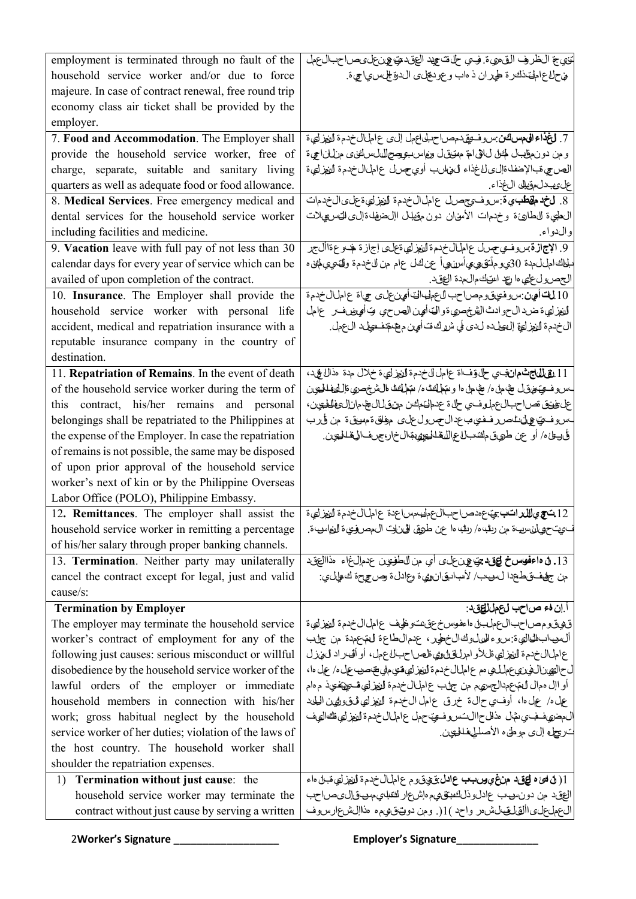| employment is terminated through no fault of the       | تنهي بخ اللظرف الق هيءَ. في على فت عِهد العقد فتي عين على صراح بال عمل                                        |
|--------------------------------------------------------|---------------------------------------------------------------------------------------------------------------|
| household service worker and/or due to force           | في حل ع المت ذكرة طير ان ذ هاب و عود على الدرة الى سي الحي ة.                                                 |
| majeure. In case of contract renewal, free round trip  |                                                                                                               |
| economy class air ticket shall be provided by the      |                                                                                                               |
| employer.                                              |                                                                                                               |
| 7. Food and Accommodation. The Employer shall          | 7. لغذاء الى مسكن سروفية دمصاحبك اعمل إلى عاملال خدمة النهزلية                                                |
| provide the household service worker, free of          | و من دون مظب ل لجل ل لها م معنوف ل ون اس به وص لل ل س الخين ع من لن الجي ة                                    |
| charge, separate, suitable and sanitary living         | الصرميء بالإضفاءالى للغذاء الههللب أوي صل عاملالخدمة النهزليية                                                |
| quarters as well as adequate food or food allowance.   | على يادل مقابل ال غذاء.                                                                                       |
| 8. Medical Services. Free emergency medical and        | 8. لخد مقطبي ة: س وفيحصل عامل ال خدمة النفر لي ةعلى ال خدمات                                                  |
| dental services for the household service worker       | ال£يية للطارئة وخدمات الأسفان دون مقلبال اإلىضفاةإلى للتسري لات                                               |
| including facilities and medicine.                     | وال\واء.                                                                                                      |
| 9. Vacation leave with full pay of not less than 30    | 9. الإج از قس وفي حمل عاملال خدم ة الفراي ةعلى إجازة هدوعةاأل جر                                              |
| calendar days for every year of service which can be   | لْبَايَاكَ الْمِالَامِدَة 30يُو مِلْتَوْهِيهِياأَسِيْهِيا ۚ عِنْ كَالَ عِامِ مِنْ لَلْخِدْمِةِ وَلِي يحيثهن ه |
| availed of upon completion of the contract.            | الحصرول علي ها رعد استاك مال مدة العقد.                                                                       |
| 10. Insurance. The Employer shall provide the          | 10 للت أين س وفي ق ومصاحب للع لها الت أي ن على حي اة ع المال خدمة                                             |
| household service worker with personal life            | النهزلي ةضد الحوادث القرخصوي ةوالت أمين الصرحي وتأمي نفر عامل                                                 |
| accident, medical and repatriation insurance with a    | الخدم ة النهز لهة إله على ده لدى في شررك قت أمين م ع هذه معيل د ال عمل.                                       |
| reputable insurance company in the country of          |                                                                                                               |
| destination.                                           |                                                                                                               |
| 11. Repatriation of Remains. In the event of death     | 11 نق للى ج شم الله على قواد عامل للخدمة النهر لي ة خلال مدة مذال على د،                                      |
| of the household service worker during the term of     | حسوفتيتهوقل ضحل م ضجل ه ونتعليه م نتعليه الشاعل الشخصي اللهابالي                                              |
| this contract, his/her remains and personal            | على فنق نصراحب العملوفي طلة عدماله بك من الله عنها للحاد المن المحل                                           |
| belongings shall be repatriated to the Philippines at  | بسروفــتِيَــعِيلْ نــلصرر فــفـي مبـعدال جـرول على ع هواقي ة مهييق ة  من ڤير ب                               |
| the expense of the Employer. In case the repatriation  | ؤُرط، أو عن طويق لتحبال ع اللغاليينيةالخار، جنف اليفاليين.                                                    |
| of remains is not possible, the same may be disposed   |                                                                                                               |
| of upon prior approval of the household service        |                                                                                                               |
| worker's next of kin or by the Philippine Overseas     |                                                                                                               |
| Labor Office (POLO), Philippine Embassy.               |                                                                                                               |
| 12. Remittances. The employer shall assist the         | 12 تح ي لللراتب بي عدص احب ال ع له مس اعدة ع امل ال خدمة النهز لي ة                                           |
| household service worker in remitting a percentage     | ےپت—ويان سيے من ربك م/ ربك ما عن طريق الىن ان مصرفي ة النهاس ة.                                               |
| of his/her salary through proper banking channels.     |                                                                                                               |
| 13. Termination. Neither party may unilaterally        | 13 <b>. ل داءفوسخ لؤق دي</b> ن عِن عِلْي من للطفِين عدمإلغاء  مذاالعقد                                        |
| cancel the contract except for legal, just and valid   | من جهف،قطعدا لسهب/ لأساليقان،في ة وعادل، وص مح ة كهالي:                                                       |
| cause/s:                                               |                                                                                                               |
| <b>Termination by Employer</b>                         | أ إن فع صاحب لعملليق د:                                                                                       |
| The employer may terminate the household service       | ق،يق،ومصاحبال،ملبل هاءفوسخ،ق ستوظيف عاملال خدمة النهزلية                                                      |
| worker's contract of employment for any of the         | أل ب المالت التي قيد الله عالى الله عنها العاعة لهم عنه الم عن جل،                                            |
| following just causes: serious misconduct or willful   | ع امل ال خدم ة النفر لي ظلاو امرلى فل يوني ظصراحب لي عمل، أو ألى راد ل وزل                                    |
| disobedience by the household service worker of the    | ل ح الهي نال في زير ع م ل اي مم ع امل ال خ دم ة النهز لي في ملي ح صوب عل ه / على ها،                          |
| lawful orders of the employer or immediate             | أو اإل ممال الهت، والجسيء من جلب ع املال خدمة النهزلي شـتين في عليه عليه م مام                                |
| household members in connection with his/her           | عمِّلْ هُ/ عَمِّلْ هَا، أُوفِي حِالْ ةُ خَرْقَ عَامِلُ الْخَدْمَةِ لْلْفَعْرِلْيِ فْمَقْوَالِهِينَ الْمَحْد   |
| work; gross habitual neglect by the household          | ال مضي فـفوي شال حذال حاال نـتس و فـعي، حمل ع امل ل خدم ة النهز لي فك الي ف                                   |
| service worker of her duties; violation of the laws of | تريط، إلى موطىء الأصليلىفللهين.                                                                               |
| the host country. The household worker shall           |                                                                                                               |
| shoulder the repatriation expenses.                    |                                                                                                               |
| Termination without just cause: the<br>1)              | 1( ل لي ه لي د الق د جن ي بي ب ع ادل وي ق و م ع اجل ال خدمة النهر لي قبل هاء                                  |
| household service worker may terminate the             | العقد من دونسهب عادلوذلكستيهيم اشعار لتنباي مستوالي صراحب                                                     |
| contract without just cause by serving a written       | ال عهل على االقل ف لش هر واحد )1(. ومن دون قي مه ه هذا إل ش عار س وف                                          |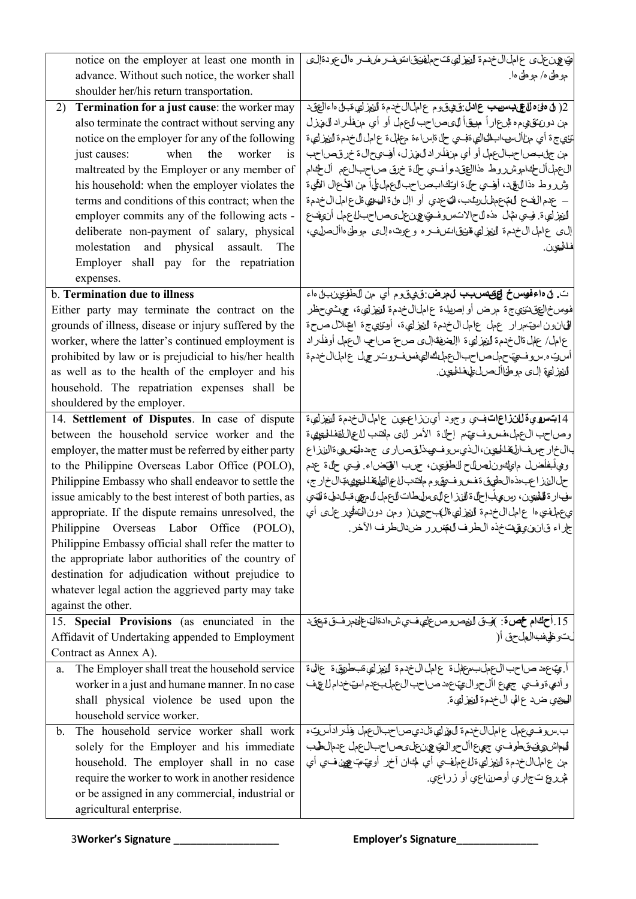| notice on the employer at least one month in              | تِ عِين عِلَى عِامِلِ الْمَحْدِمَةِ الْيَهْزِلِي مَتَ حِمِلْفِنِينَ انسَ فَسِرِ مِلْ فَسِرِ دَالِ عِودة إلى |
|-----------------------------------------------------------|-------------------------------------------------------------------------------------------------------------|
| advance. Without such notice, the worker shall            | موطن ہ/ موطن ہا ِ                                                                                           |
| shoulder her/his return transportation.                   |                                                                                                             |
| Termination for a just cause: the worker may<br>2)        | 2( ان مائ والي بسيب ع ادل قيوق وم ع امل ال خدم ة النهز لي قبل ماء العقد                                     |
| also terminate the contract without serving any           | من دون قهيم ه شرعار أ مهيقاً للىصراحب للحمل أو أي منفل راد للهزل                                            |
| notice on the employer for any of the following           | تزي ج ة أي من(ألس البلايالي ةفي حل ةإس اءة مع له قام ل الخدم ة النهز لي ة                                   |
| when<br>the<br>just causes:<br>worker<br>$\frac{1}{1}$    | من جلبحراحبالعهل أو أي منفلر اد لهززل، أفي حال ة خر قصاحب                                                   |
| maltreated by the Employer or any member of               | ال£ملأل لخاهوش روط هذاالعقد وأفءي طلة خرق صاحبال€م أل√خام                                                   |
| his household: when the employer violates the             | وثن روط مذا للجهد، أفسي حل ة ارتك ابـحـن احب للعمل ليَّ أ من الأعجال الذِّي ة                               |
| terms and conditions of this contract; when the           | _ عدم الغبع الهجع طل لريلب، الى عدي أو اإل هل ة الى في قل ع امل ال خدم ة                                    |
| employer commits any of the following acts -              | الفغرلية. في شال هذه للحالانتس وفتي عِين على صاحب للعجل أنهيف ع                                             |
| deliberate non-payment of salary, physical                | إلى عامل ال خدمة الفيزلي فخنقانش ف ره وعويت ه إلى موطىءاأل صليبي،                                           |
| molestation and physical assault.<br>The                  | فـللـــون.                                                                                                  |
| Employer shall pay for the repatriation                   |                                                                                                             |
| expenses.                                                 |                                                                                                             |
| <b>b.</b> Termination due to illness                      | ت. إن داءفوسخ لوقيهسبب لمرض قويقوم أي من الطوي نبل داء                                                      |
| Either party may terminate the contract on the            | فوسخالغڧتني ج ةمرض أو إصها ةعاملالخدم ة النهزلي ة، حيثي ظر                                                  |
| grounds of illness, disease or injury suffered by the     | القانون استحرار عجل عاجل الخدمة النفزاي ة، أوتني جة اعجلال صحة                                              |
| worker, where the latter's continued employment is        | عامل/ عهل ةالخدمة النهزلية االصفةالي صحة صاحب العهل أوفلراد                                                 |
| prohibited by law or is prejudicial to his/her health     | أسرت ه س وفيت حمل صراحب ال عمليك الهيفس ف روت رحميل ع امل ال خدمة                                           |
| as well as to the health of the employer and his          | للنفرلية إلى موطاالصل طيفاليين.                                                                             |
| household. The repatriation expenses shall be             |                                                                                                             |
| shouldered by the employer.                               |                                                                                                             |
| 14. Settlement of Disputes. In case of dispute            | 14بتسوية للنزاع اتفي وجود أي نزاعبين عامل ال خدمة النهزلية                                                  |
| between the household service worker and the              | وصاحب الءمل،فسروف تي م إطلة الأمر للي ملقتب للع اللففاليةي ة                                                |
| employer, the matter must be referred by either party     | بالخار جميفارلغللهين،الذي سوفسي ذلق صرارى جهده لىس هي ةالفذاع                                               |
| to the Philippine Overseas Labor Office (POLO),           | وهِيأَبِفَلَضل ماتِكِ ونلصللح للطفِيمِين، حمِنب القِيْضاءِ. فِي حَلْ ةَ عَدِم                               |
| Philippine Embassy who shall endeavor to settle the       | حل الن زاعب مذه الطريق ةفس وفيق وم مائتب ل ع الملفالي وي بقال خ ارج،                                        |
| issue amicably to the best interest of both parties, as   | سف ار ة قليهين، رس مِ أبار إلى ة الن زاع للى س لى طات للحمل لل مرتبي قبل دلى ة لتي                          |
| appropriate. If the dispute remains unresolved, the       | يءملغيءا عامل الخدمة النفزليةالب=چين( ومن دونالتحفير على أي                                                 |
| Philippine Overseas Labor Office (POLO),                  | جرراء قان ويقتخذه الطرف للخسرر ضدالطرف الأخر                                                                |
| Philippine Embassy official shall refer the matter to     |                                                                                                             |
| the appropriate labor authorities of the country of       |                                                                                                             |
| destination for adjudication without prejudice to         |                                                                                                             |
| whatever legal action the aggrieved party may take        |                                                                                                             |
| against the other.                                        |                                                                                                             |
| 15. Special Provisions (as enunciated in the              | 15.أحكام محصرة: )فِيق الفصروص على في شِءادةالى عالهمر فتي مُبكِّف                                           |
| Affidavit of Undertaking appended to Employment           | ن وظيفنالهلحق أ(                                                                                            |
| Contract as Annex A).                                     |                                                                                                             |
| The Employer shall treat the household service<br>a.      | أ. ي عود ص احب ال عمل ب معلى ة ع امل ال خدم ة النفر لي قب طريق ة ع الى ة                                    |
| worker in a just and humane manner. In no case            | و أدمي ةوف، جهيع األ حوال بي ع،د ص١حب العمل بعدم اس خدام ل عليف                                             |
| shall physical violence be used upon the                  | الهوهي ضد عالم الخدم ة الفراي ة.                                                                            |
| household service worker.                                 |                                                                                                             |
| The household service worker shall work<br>$\mathbf{b}$ . | ب س وفيىع جل عامل ال خدم ة الله لي قل دي ص احب العجل وفُلر ادأس تِ ه                                        |
| solely for the Employer and his immediate                 | لهعاش وف قطوفي جهي األ حوالتي عين على صراحب العمل عدمال طيب                                                 |
| household. The employer shall in no case                  | مِن عِامِلِالْخِدِمَةِ لِلْنَهْزِلِيِّ ةِلْمُعِمِلْفِي أَيِّ لَمِحَانِ أُخِرٍ ۚ أُوتِيَّةٍ عَلِيْنِ فَءي أي |
| require the worker to work in another residence           | ش روع تجاري أوصلااعي أو زراعي.                                                                              |
| or be assigned in any commercial, industrial or           |                                                                                                             |
| agricultural enterprise.                                  |                                                                                                             |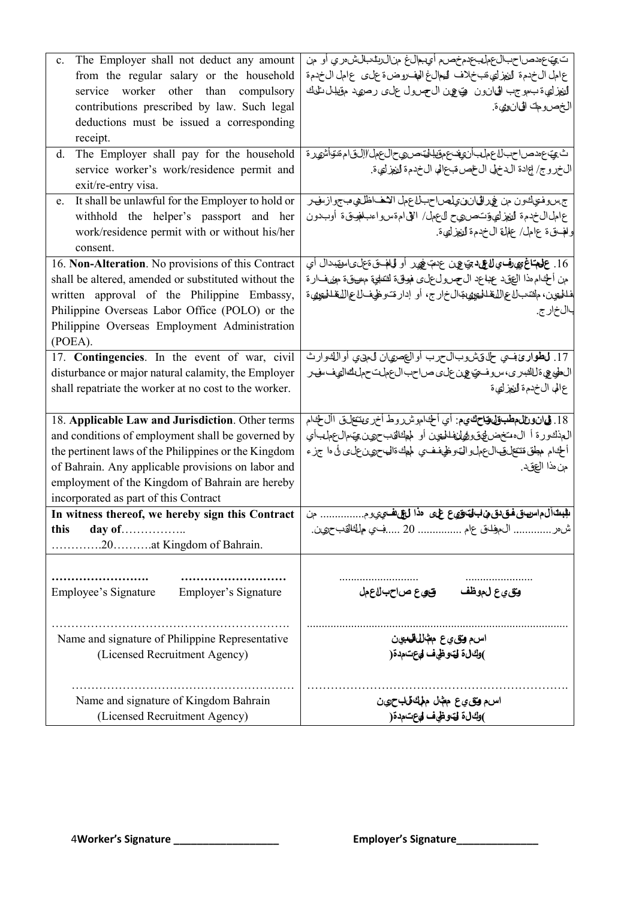| The Employer shall not deduct any amount<br>$\mathbf{c}$ . | ت بيّ ع دصاحب العمله عدم خصم أي جالغ من الرينه بالش مري أو من                                                    |
|------------------------------------------------------------|------------------------------------------------------------------------------------------------------------------|
| from the regular salary or the household                   | عامل الخدمة النهزلي تبخلاف الهالغ الهف روضة على عامل الخدمة                                                      |
| service worker other than compulsory                       | النفزلي،ة بموجب الىانون ڤي، في ال حمرول على رصويد مقيال للىك                                                     |
| contributions prescribed by law. Such legal                | الخصوحك الىان،ئ ة.                                                                                               |
| deductions must be issued a corresponding                  |                                                                                                                  |
| receipt.                                                   |                                                                                                                  |
| The Employer shall pay for the household<br>$d_{\cdot}$    | ث عِيّ عِمدص احب ل عمل بأنهِ ف عموّ فيه لف صري حال عمل <i>ا</i> إلى قام مّنواً شري ردّ                           |
| service worker's work/residence permit and                 | الخروج/ إبادة الدخلي ال+حص قبحالي الخدمة النفرلية.                                                               |
| exit/re-entry visa.                                        |                                                                                                                  |
| It shall be unlawful for the Employer to hold or<br>e.     | جسووفيكون من غرافيان ويلص احبلاع ل الثخاظي مجواز فير                                                             |
| withhold the helper's passport and her                     | عاملال خدمة النهزلي وتتصري للجمل/ القي امةس واعباهوقة أوب دون                                                    |
| work/residence permit with or without his/her              | وَلَغِــَاقٍ ةَ عَامِلُ/ عَلَمْكَ الْ1خِدْمَةُ لِلْنَهْزِلِي ةَ.                                                 |
| consent.                                                   |                                                                                                                  |
| 16. Non-Alteration. No provisions of this Contract         | 16. <b>علجاغ يورف ي للرق.</b> تخ ع ن عدم غير أو <b>ل</b> لف ةعلى استدال أي                                       |
| shall be altered, amended or substituted without the       | من ألخِدام هذا العقود عبداعد ال جمرول على فهواقة لفتعلية مسوقة مشفارة                                            |
| written approval of the Philippine Embassy,                | فْلْلّْمِين، مْلْتَنْبْالْحْمْالْلْتْفْلْمْهِيْهِيْشَالْخْارْجْ، أَو إدارتْتُوظِيفْلْلْحْمَالْلْتّْفْلْلْهِيْهِي |
| Philippine Overseas Labor Office (POLO) or the             | بال†خار ج.                                                                                                       |
| Philippine Overseas Employment Administration              |                                                                                                                  |
| (POEA).                                                    |                                                                                                                  |
| 17. Contingencies. In the event of war, civil              | 17. للطوارئ في طلق شوب ال حرب أو العصويان ل موي أو الكوارث                                                       |
| disturbance or major natural calamity, the Employer        | ال طي عي ة ل الشبري، س وف ت ع على ص احب ال ع ملت حمل الى الي ف سف ر                                              |
| shall repatriate the worker at no cost to the worker.      | ع الى ال خدمة النهزلي ة                                                                                          |
|                                                            |                                                                                                                  |
| 18. Applicable Law and Jurisdiction. Other terms           | 18. في ان و نالمعطب قل فياح ك ي م: أي ألج اموش روط أخر وينتغل في   اللَّ لج ام                                   |
| and conditions of employment shall be governed by          | المذكورة أ الءتخض فىق والهلىفاليين أو لمطالقب حوين بيت ال عمل أي                                                 |
| the pertinent laws of the Philippines or the Kingdom       | ألخِدام مطق منتقل فالرعمل والى وظيفف ي لمهك ةالى حرين على لله اجزء                                               |
| of Bahrain. Any applicable provisions on labor and         | من مذا العقد.                                                                                                    |
| employment of the Kingdom of Bahrain are hereby            |                                                                                                                  |
| incorporated as part of this Contract                      |                                                                                                                  |
| In witness thereof, we hereby sign this Contract           | ى <b>بْبىت</b> الەماسىسى فىق نى فىلىپتوي ع عى ھذا لىش فىي <i>يوم</i> م                                           |
| this day of                                                | ش،ر ال،فِلتي عام  20 في مِلْكَانْتبحِرِين.                                                                       |
| 20at Kingdom of Bahrain.                                   |                                                                                                                  |
|                                                            |                                                                                                                  |
|                                                            |                                                                                                                  |
| <b>Employee's Signature</b><br>Employer's Signature        | وقءيع لموظف<br>قهع صاحب للعمل                                                                                    |
|                                                            |                                                                                                                  |
|                                                            |                                                                                                                  |
| Name and signature of Philippine Representative            | اسم وق <i>ي ي</i> ع مڻالفاليبين                                                                                  |
| (Licensed Recruitment Agency)                              | )وكل6 لقوظوف لهءت مدة (                                                                                          |
|                                                            |                                                                                                                  |
|                                                            |                                                                                                                  |
| Name and signature of Kingdom Bahrain                      | اسم <b>وت</b> قيءِ مهڻل مهلڪڦلب <i>چون</i>                                                                       |
| (Licensed Recruitment Agency)                              | )وكل5 لقوظيف لهءتمدة(                                                                                            |